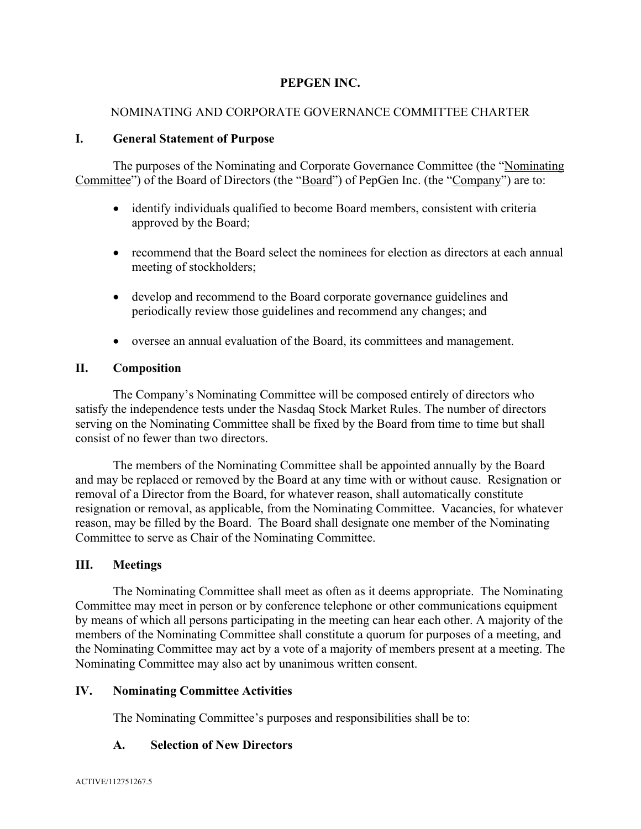# **PEPGEN INC.**

### NOMINATING AND CORPORATE GOVERNANCE COMMITTEE CHARTER

#### **I. General Statement of Purpose**

The purposes of the Nominating and Corporate Governance Committee (the "Nominating Committee") of the Board of Directors (the "Board") of PepGen Inc. (the "Company") are to:

- identify individuals qualified to become Board members, consistent with criteria approved by the Board;
- recommend that the Board select the nominees for election as directors at each annual meeting of stockholders;
- develop and recommend to the Board corporate governance guidelines and periodically review those guidelines and recommend any changes; and
- oversee an annual evaluation of the Board, its committees and management.

#### **II. Composition**

The Company's Nominating Committee will be composed entirely of directors who satisfy the independence tests under the Nasdaq Stock Market Rules. The number of directors serving on the Nominating Committee shall be fixed by the Board from time to time but shall consist of no fewer than two directors.

The members of the Nominating Committee shall be appointed annually by the Board and may be replaced or removed by the Board at any time with or without cause. Resignation or removal of a Director from the Board, for whatever reason, shall automatically constitute resignation or removal, as applicable, from the Nominating Committee. Vacancies, for whatever reason, may be filled by the Board. The Board shall designate one member of the Nominating Committee to serve as Chair of the Nominating Committee.

#### **III. Meetings**

The Nominating Committee shall meet as often as it deems appropriate. The Nominating Committee may meet in person or by conference telephone or other communications equipment by means of which all persons participating in the meeting can hear each other. A majority of the members of the Nominating Committee shall constitute a quorum for purposes of a meeting, and the Nominating Committee may act by a vote of a majority of members present at a meeting. The Nominating Committee may also act by unanimous written consent.

#### **IV. Nominating Committee Activities**

The Nominating Committee's purposes and responsibilities shall be to:

#### **A. Selection of New Directors**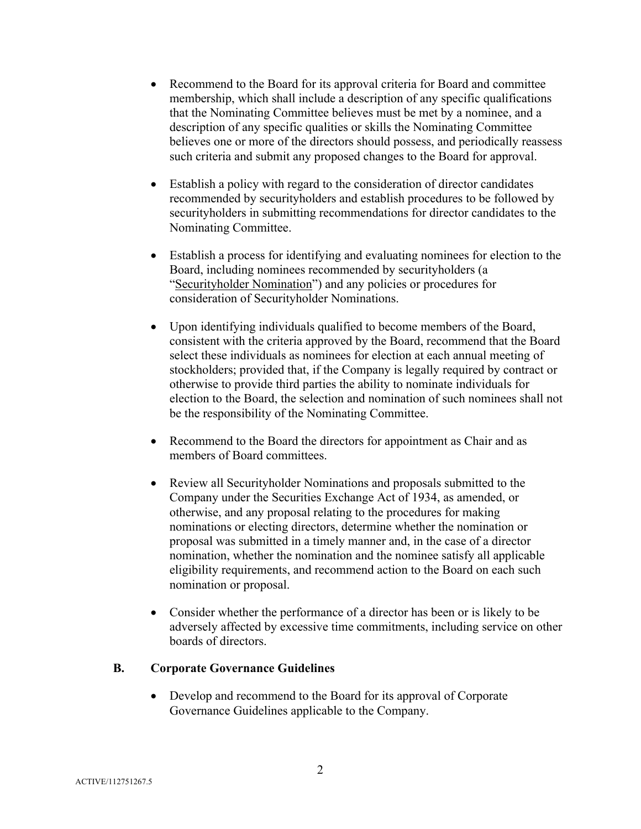- Recommend to the Board for its approval criteria for Board and committee membership, which shall include a description of any specific qualifications that the Nominating Committee believes must be met by a nominee, and a description of any specific qualities or skills the Nominating Committee believes one or more of the directors should possess, and periodically reassess such criteria and submit any proposed changes to the Board for approval.
- Establish a policy with regard to the consideration of director candidates recommended by securityholders and establish procedures to be followed by securityholders in submitting recommendations for director candidates to the Nominating Committee.
- Establish a process for identifying and evaluating nominees for election to the Board, including nominees recommended by securityholders (a "Securityholder Nomination") and any policies or procedures for consideration of Securityholder Nominations.
- Upon identifying individuals qualified to become members of the Board, consistent with the criteria approved by the Board, recommend that the Board select these individuals as nominees for election at each annual meeting of stockholders; provided that, if the Company is legally required by contract or otherwise to provide third parties the ability to nominate individuals for election to the Board, the selection and nomination of such nominees shall not be the responsibility of the Nominating Committee.
- Recommend to the Board the directors for appointment as Chair and as members of Board committees.
- Review all Securityholder Nominations and proposals submitted to the Company under the Securities Exchange Act of 1934, as amended, or otherwise, and any proposal relating to the procedures for making nominations or electing directors, determine whether the nomination or proposal was submitted in a timely manner and, in the case of a director nomination, whether the nomination and the nominee satisfy all applicable eligibility requirements, and recommend action to the Board on each such nomination or proposal.
- Consider whether the performance of a director has been or is likely to be adversely affected by excessive time commitments, including service on other boards of directors.

#### **B. Corporate Governance Guidelines**

• Develop and recommend to the Board for its approval of Corporate Governance Guidelines applicable to the Company.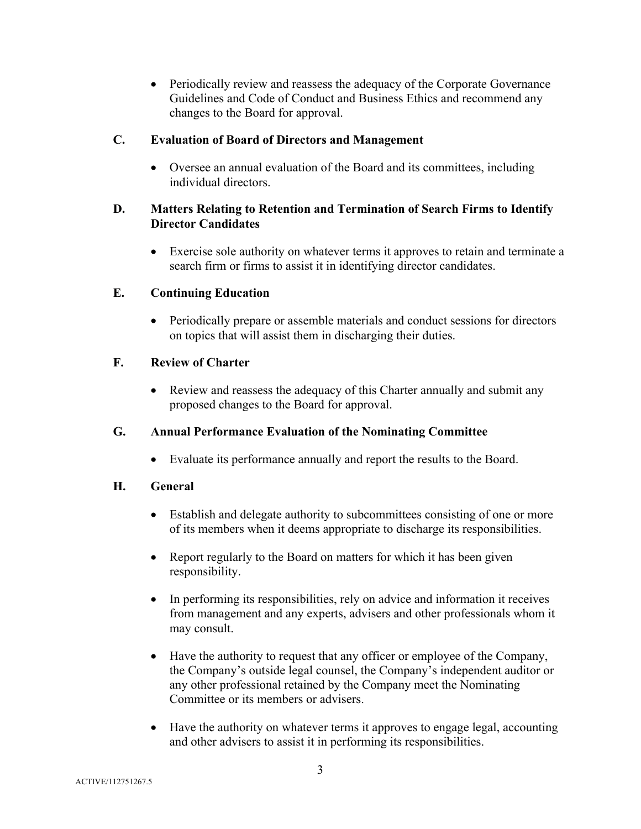• Periodically review and reassess the adequacy of the Corporate Governance Guidelines and Code of Conduct and Business Ethics and recommend any changes to the Board for approval.

### **C. Evaluation of Board of Directors and Management**

• Oversee an annual evaluation of the Board and its committees, including individual directors.

## **D. Matters Relating to Retention and Termination of Search Firms to Identify Director Candidates**

• Exercise sole authority on whatever terms it approves to retain and terminate a search firm or firms to assist it in identifying director candidates.

# **E. Continuing Education**

• Periodically prepare or assemble materials and conduct sessions for directors on topics that will assist them in discharging their duties.

### **F. Review of Charter**

• Review and reassess the adequacy of this Charter annually and submit any proposed changes to the Board for approval.

# **G. Annual Performance Evaluation of the Nominating Committee**

• Evaluate its performance annually and report the results to the Board.

#### **H. General**

- Establish and delegate authority to subcommittees consisting of one or more of its members when it deems appropriate to discharge its responsibilities.
- Report regularly to the Board on matters for which it has been given responsibility.
- In performing its responsibilities, rely on advice and information it receives from management and any experts, advisers and other professionals whom it may consult.
- Have the authority to request that any officer or employee of the Company, the Company's outside legal counsel, the Company's independent auditor or any other professional retained by the Company meet the Nominating Committee or its members or advisers.
- Have the authority on whatever terms it approves to engage legal, accounting and other advisers to assist it in performing its responsibilities.